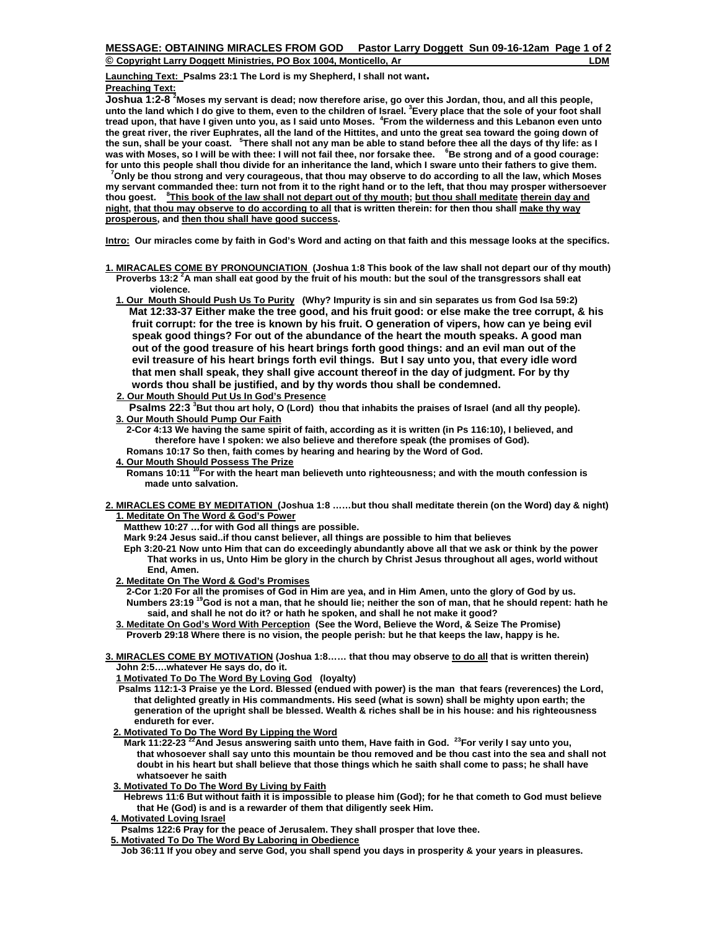**© Copyright Larry Doggett Ministries, PO Box 1004, Monticello, Ar LDM**

**Launching Text: Psalms 23:1 The Lord is my Shepherd, I shall not want. Preaching Text:**

**Joshua 1:2-8 2 Moses my servant is dead; now therefore arise, go over this Jordan, thou, and all this people, unto the land which I do give to them, even to the children of Israel. 3 Every place that the sole of your foot shall tread upon, that have I given unto you, as I said unto Moses. <sup>4</sup> From the wilderness and this Lebanon even unto the great river, the river Euphrates, all the land of the Hittites, and unto the great sea toward the going down of**  the sun, shall be your coast. <sup>5</sup>There shall not any man be able to stand before thee all the days of thy life: as l<br>was with Moses, so I will be with thee: I will not fail thee, nor forsake thee. <sup>6</sup>Be strong and of a goo **for unto this people shall thou divide for an inheritance the land, which I sware unto their fathers to give them.** 

<sup>7</sup> Only be thou strong and very courageous, that thou may observe to do according to all the law, which Moses **my servant commanded thee: turn not from it to the right hand or to the left, that thou may prosper withersoever thou goest. <sup>8</sup> This book of the law shall not depart out of thy mouth; but thou shall meditate therein day and night, that thou may observe to do according to all that is written therein: for then thou shall make thy way prosperous, and then thou shall have good success.** 

**Intro: Our miracles come by faith in God's Word and acting on that faith and this message looks at the specifics.** 

- **1. MIRACALES COME BY PRONOUNCIATION (Joshua 1:8 This book of the law shall not depart our of thy mouth) Proverbs 13:2 <sup>2</sup> A man shall eat good by the fruit of his mouth: but the soul of the transgressors shall eat violence.** 
	- **1. Our Mouth Should Push Us To Purity (Why? Impurity is sin and sin separates us from God Isa 59:2) Mat 12:33-37 Either make the tree good, and his fruit good: or else make the tree corrupt, & his fruit corrupt: for the tree is known by his fruit. O generation of vipers, how can ye being evil speak good things? For out of the abundance of the heart the mouth speaks. A good man out of the good treasure of his heart brings forth good things: and an evil man out of the evil treasure of his heart brings forth evil things. But I say unto you, that every idle word that men shall speak, they shall give account thereof in the day of judgment. For by thy words thou shall be justified, and by thy words thou shall be condemned.**
	- **2. Our Mouth Should Put Us In God's Presence**

**Psalms 22:3 <sup>3</sup>But thou art holy, O (Lord) thou that inhabits the praises of Israel (and all thy people). 3. Our Mouth Should Pump Our Faith**

 **2-Cor 4:13 We having the same spirit of faith, according as it is written (in Ps 116:10), I believed, and therefore have I spoken: we also believe and therefore speak (the promises of God). Romans 10:17 So then, faith comes by hearing and hearing by the Word of God.** 

 **4. Our Mouth Should Possess The Prize**

Romans 10:11 <sup>10</sup>For with the heart man believeth unto righteousness; and with the mouth confession is  **made unto salvation.** 

**2. MIRACLES COME BY MEDITATION (Joshua 1:8 ……but thou shall meditate therein (on the Word) day & night) 1. Meditate On The Word & God's Power**

 **Matthew 10:27 …for with God all things are possible.** 

- **Mark 9:24 Jesus said..if thou canst believer, all things are possible to him that believes**
- **Eph 3:20-21 Now unto Him that can do exceedingly abundantly above all that we ask or think by the power That works in us, Unto Him be glory in the church by Christ Jesus throughout all ages, world without End, Amen.**
- **2. Meditate On The Word & God's Promises**

 **2-Cor 1:20 For all the promises of God in Him are yea, and in Him Amen, unto the glory of God by us. Numbers 23:19 19God is not a man, that he should lie; neither the son of man, that he should repent: hath he said, and shall he not do it? or hath he spoken, and shall he not make it good?** 

- **3. Meditate On God's Word With Perception (See the Word, Believe the Word, & Seize The Promise) Proverb 29:18 Where there is no vision, the people perish: but he that keeps the law, happy is he.**
- **3. MIRACLES COME BY MOTIVATION (Joshua 1:8…… that thou may observe to do all that is written therein) John 2:5….whatever He says do, do it.**

 **1 Motivated To Do The Word By Loving God (loyalty)** 

- **Psalms 112:1-3 Praise ye the Lord. Blessed (endued with power) is the man that fears (reverences) the Lord, that delighted greatly in His commandments. His seed (what is sown) shall be mighty upon earth; the generation of the upright shall be blessed. Wealth & riches shall be in his house: and his righteousness endureth for ever.**
- **2. Motivated To Do The Word By Lipping the Word**
	- **Mark 11:22-23 22And Jesus answering saith unto them, Have faith in God. 23For verily I say unto you, that whosoever shall say unto this mountain be thou removed and be thou cast into the sea and shall not doubt in his heart but shall believe that those things which he saith shall come to pass; he shall have whatsoever he saith**
- **3. Motivated To Do The Word By Living by Faith**

 **Hebrews 11:6 But without faith it is impossible to please him (God); for he that cometh to God must believe that He (God) is and is a rewarder of them that diligently seek Him.** 

 **4. Motivated Loving Israel**

 **Psalms 122:6 Pray for the peace of Jerusalem. They shall prosper that love thee.** 

 **5. Motivated To Do The Word By Laboring in Obedience**

 **Job 36:11 If you obey and serve God, you shall spend you days in prosperity & your years in pleasures.**